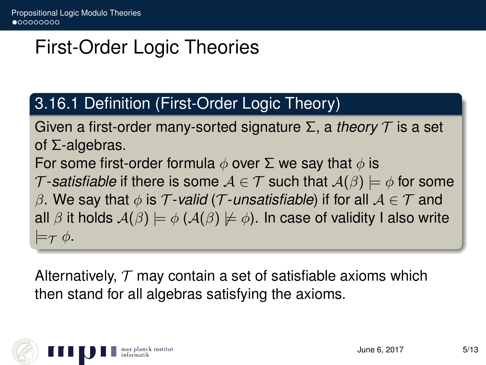# First-Order Logic Theories

#### 3.16.1 Definition (First-Order Logic Theory)

Given a first-order many-sorted signature Σ, a *theory* T is a set of Σ-algebras.

For some first-order formula  $\phi$  over  $\Sigma$  we say that  $\phi$  is

T-satisfiable if there is some  $A \in \mathcal{T}$  such that  $A(\beta) \models \phi$  for some

β. We say that  $\phi$  is T-valid (T-unsatisfiable) if for all  $A \in T$  and all  $\beta$  it holds  $A(\beta) \models \phi$  ( $A(\beta) \not\models \phi$ ). In case of validity I also write  $\models_{\mathcal{T}} \phi.$ 

Alternatively,  $T$  may contain a set of satisfiable axioms which then stand for all algebras satisfying the axioms.

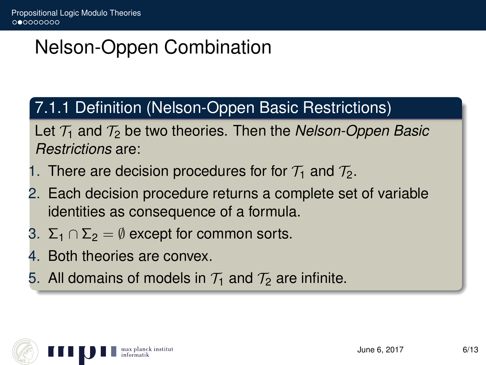# Nelson-Oppen Combination

### 7.1.1 Definition (Nelson-Oppen Basic Restrictions)

Let  $\mathcal{T}_1$  and  $\mathcal{T}_2$  be two theories. Then the *Nelson-Oppen Basic Restrictions* are:

- 1. There are decision procedures for for  $\mathcal{T}_1$  and  $\mathcal{T}_2$ .
- 2. Each decision procedure returns a complete set of variable identities as consequence of a formula.
- 3.  $\Sigma_1 \cap \Sigma_2 = \emptyset$  except for common sorts.
- 4. Both theories are convex.
- 5. All domains of models in  $\mathcal{T}_1$  and  $\mathcal{T}_2$  are infinite.

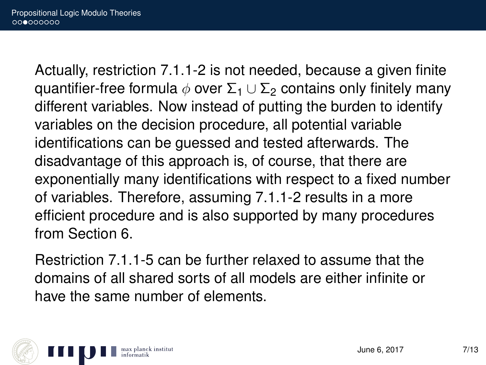Actually, restriction 7.1.1-2 is not needed, because a given finite quantifier-free formula  $\phi$  over  $\Sigma_1 \cup \Sigma_2$  contains only finitely many different variables. Now instead of putting the burden to identify variables on the decision procedure, all potential variable identifications can be guessed and tested afterwards. The disadvantage of this approach is, of course, that there are exponentially many identifications with respect to a fixed number of variables. Therefore, assuming 7.1.1-2 results in a more efficient procedure and is also supported by many procedures from Section 6.

Restriction 7.1.1-5 can be further relaxed to assume that the domains of all shared sorts of all models are either infinite or have the same number of elements.

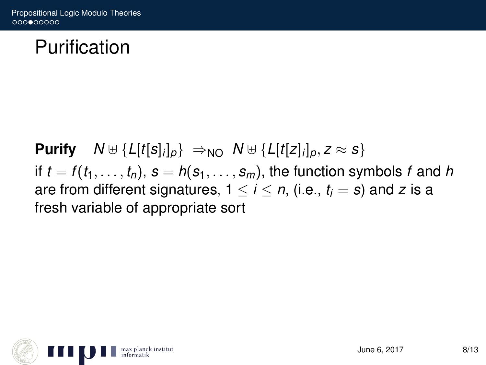## Purification

**Purify**  $N \oplus \{L[t[s]_i]_p\} \Rightarrow_{NO} N \oplus \{L[t[z]_i]_p, z \approx s\}$ if  $t = f(t_1, \ldots, t_n)$ ,  $s = h(s_1, \ldots, s_m)$ , the function symbols f and h are from different signatures,  $1 \le i \le n$ , (i.e.,  $t_i = s$ ) and *z* is a fresh variable of appropriate sort

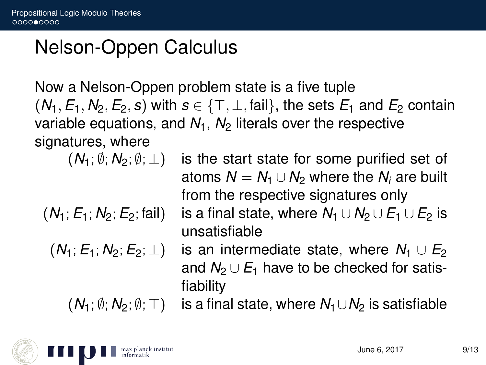## Nelson-Oppen Calculus

Now a Nelson-Oppen problem state is a five tuple  $(N_1, E_1, N_2, E_2, s)$  with  $s \in \{\top, \bot, \text{fail}\}$ , the sets  $E_1$  and  $E_2$  contain variable equations, and  $N_1$ ,  $N_2$  literals over the respective signatures, where

fiability

$$
(N_1; \emptyset; N_2; \emptyset; \bot)
$$
 is the

$$
(N_1; E_1; N_2; E_2; \text{fail})
$$

$$
(N_1;E_1;N_2;E_2;\perp)
$$

he start state for some purified set of atoms  $N = N_1 \cup N_2$  where the  $N_i$  are built from the respective signatures only is a final state, where  $N_1 \cup N_2 \cup E_1 \cup E_2$  is unsatisfiable is an intermediate state, where  $N_1 \cup E_2$ and  $N_2 \cup E_1$  have to be checked for satis-

 $(N_1; \emptyset; N_2; \emptyset; \top)$  is a final state, where  $N_1 \cup N_2$  is satisfiable